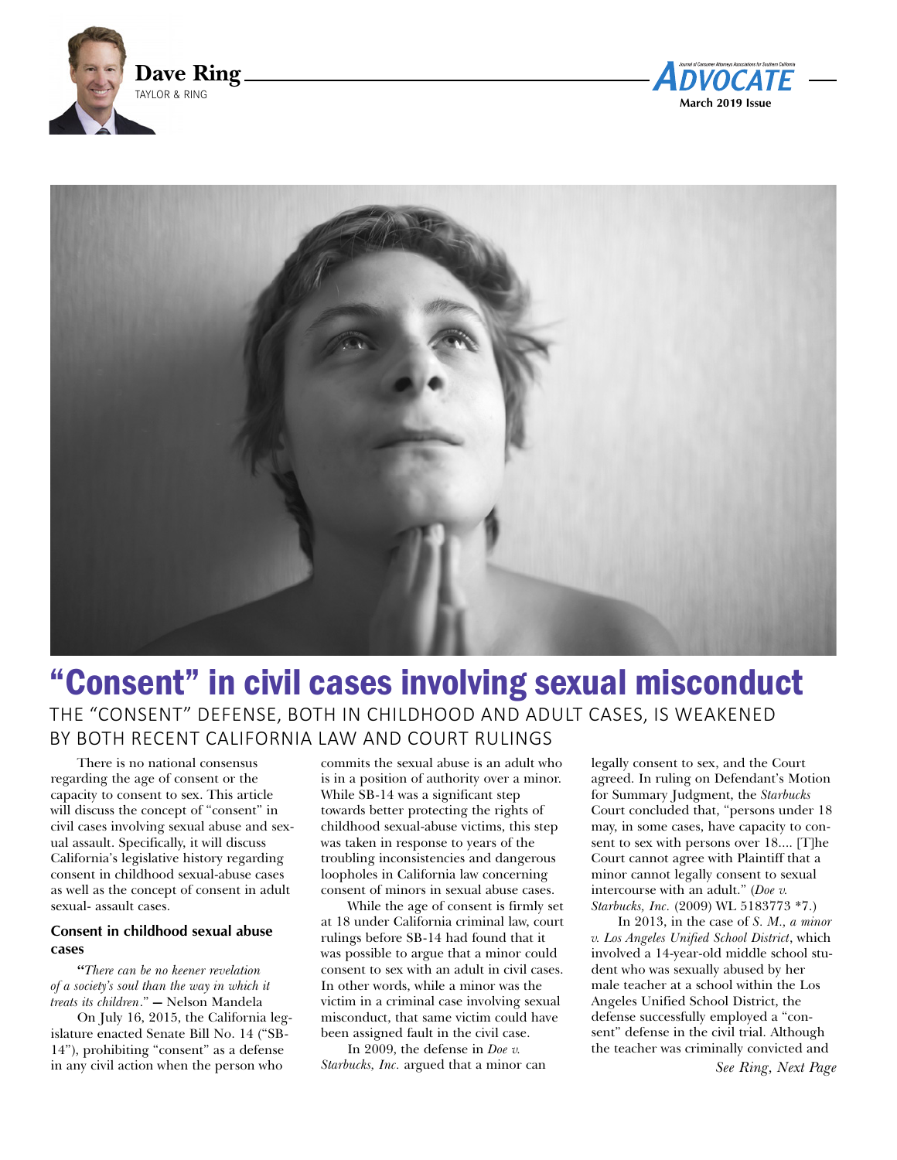





# "Consent" in civil cases involving sexual misconduct THE "CONSENT" DEFENSE, BOTH IN CHILDHOOD AND ADULT CASES, IS WEAKENED BY BOTH RECENT CALIFORNIA LAW AND COURT RULINGS

There is no national consensus regarding the age of consent or the capacity to consent to sex. This article will discuss the concept of "consent" in civil cases involving sexual abuse and sexual assault. Specifically, it will discuss California's legislative history regarding consent in childhood sexual-abuse cases as well as the concept of consent in adult sexual- assault cases.

## **Consent in childhood sexual abuse cases**

**"***There can be no keener revelation of a society's soul than the way in which it treats its children*." **—** Nelson Mandela

On July 16, 2015, the California legislature enacted Senate Bill No. 14 ("SB-14"), prohibiting "consent" as a defense in any civil action when the person who

commits the sexual abuse is an adult who is in a position of authority over a minor. While SB-14 was a significant step towards better protecting the rights of childhood sexual-abuse victims, this step was taken in response to years of the troubling inconsistencies and dangerous loopholes in California law concerning consent of minors in sexual abuse cases.

While the age of consent is firmly set at 18 under California criminal law, court rulings before SB-14 had found that it was possible to argue that a minor could consent to sex with an adult in civil cases. In other words, while a minor was the victim in a criminal case involving sexual misconduct, that same victim could have been assigned fault in the civil case.

In 2009, the defense in *Doe v. Starbucks, Inc.* argued that a minor can legally consent to sex, and the Court agreed. In ruling on Defendant's Motion for Summary Judgment, the *Starbucks* Court concluded that, "persons under 18 may, in some cases, have capacity to consent to sex with persons over 18.... [T]he Court cannot agree with Plaintiff that a minor cannot legally consent to sexual intercourse with an adult." (*Doe v. Starbucks, Inc.* (2009) WL 5183773 \*7.)

In 2013, in the case of *S. M., a minor v. Los Angeles Unified School District*, which involved a 14-year-old middle school student who was sexually abused by her male teacher at a school within the Los Angeles Unified School District, the defense successfully employed a "consent" defense in the civil trial. Although the teacher was criminally convicted and

*See Ring, Next Page*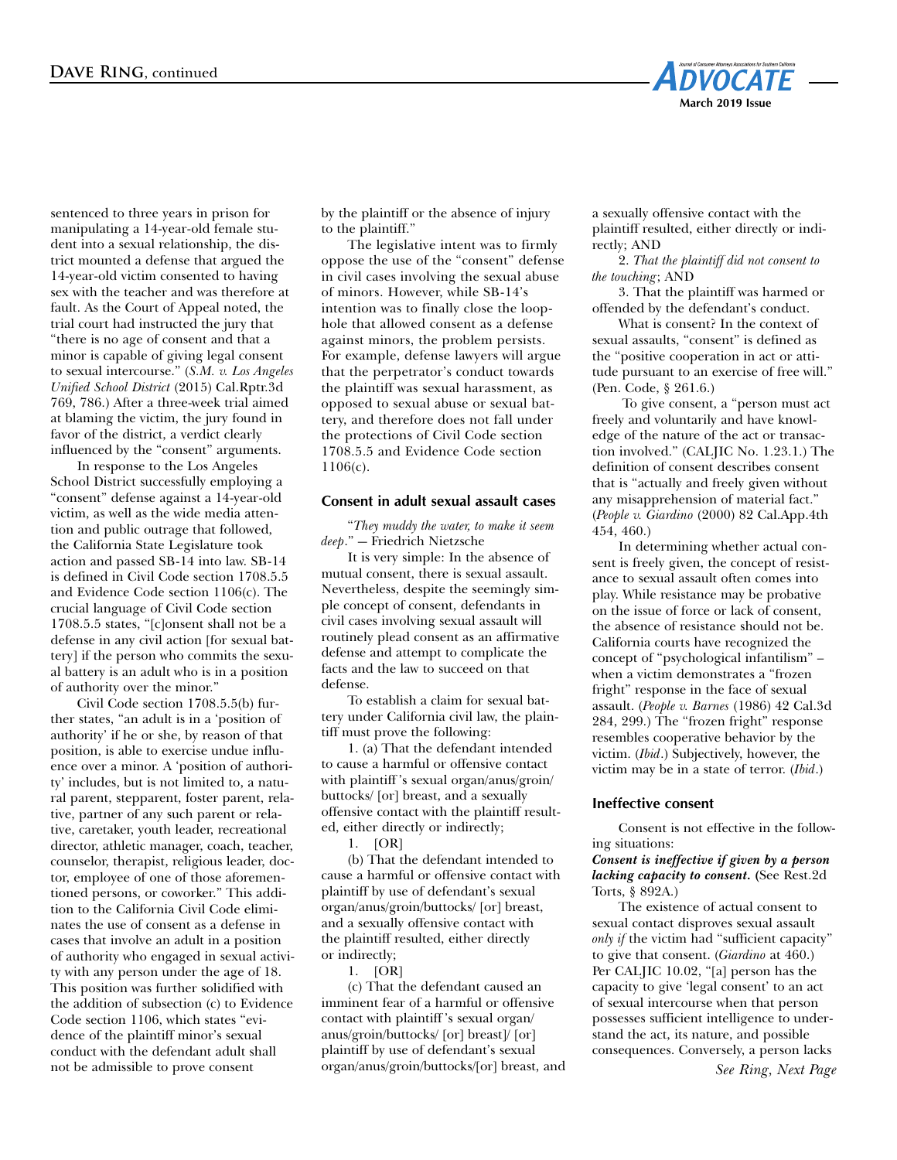

sentenced to three years in prison for manipulating a 14-year-old female student into a sexual relationship, the district mounted a defense that argued the 14-year-old victim consented to having sex with the teacher and was therefore at fault. As the Court of Appeal noted, the trial court had instructed the jury that "there is no age of consent and that a minor is capable of giving legal consent to sexual intercourse." (*S.M. v. Los Angeles Unified School District* (2015) Cal.Rptr.3d 769, 786.) After a three-week trial aimed at blaming the victim, the jury found in favor of the district, a verdict clearly influenced by the "consent" arguments.

In response to the Los Angeles School District successfully employing a "consent" defense against a 14-year-old victim, as well as the wide media attention and public outrage that followed, the California State Legislature took action and passed SB-14 into law. SB-14 is defined in Civil Code section 1708.5.5 and Evidence Code section 1106(c). The crucial language of Civil Code section 1708.5.5 states, "[c]onsent shall not be a defense in any civil action [for sexual battery] if the person who commits the sexual battery is an adult who is in a position of authority over the minor."

Civil Code section 1708.5.5(b) further states, "an adult is in a 'position of authority' if he or she, by reason of that position, is able to exercise undue influence over a minor. A 'position of authority' includes, but is not limited to, a natural parent, stepparent, foster parent, relative, partner of any such parent or relative, caretaker, youth leader, recreational director, athletic manager, coach, teacher, counselor, therapist, religious leader, doctor, employee of one of those aforementioned persons, or coworker." This addition to the California Civil Code eliminates the use of consent as a defense in cases that involve an adult in a position of authority who engaged in sexual activity with any person under the age of 18. This position was further solidified with the addition of subsection (c) to Evidence Code section 1106, which states "evidence of the plaintiff minor's sexual conduct with the defendant adult shall not be admissible to prove consent

by the plaintiff or the absence of injury to the plaintiff."

The legislative intent was to firmly oppose the use of the "consent" defense in civil cases involving the sexual abuse of minors. However, while SB-14's intention was to finally close the loophole that allowed consent as a defense against minors, the problem persists. For example, defense lawyers will argue that the perpetrator's conduct towards the plaintiff was sexual harassment, as opposed to sexual abuse or sexual battery, and therefore does not fall under the protections of Civil Code section 1708.5.5 and Evidence Code section 1106(c).

#### **Consent in adult sexual assault cases**

"*They muddy the water, to make it seem deep*." — Friedrich Nietzsche

It is very simple: In the absence of mutual consent, there is sexual assault. Nevertheless, despite the seemingly simple concept of consent, defendants in civil cases involving sexual assault will routinely plead consent as an affirmative defense and attempt to complicate the facts and the law to succeed on that defense.

To establish a claim for sexual battery under California civil law, the plaintiff must prove the following:

1. (a) That the defendant intended to cause a harmful or offensive contact with plaintiff 's sexual organ/anus/groin/ buttocks/ [or] breast, and a sexually offensive contact with the plaintiff resulted, either directly or indirectly;

1. [OR]

(b) That the defendant intended to cause a harmful or offensive contact with plaintiff by use of defendant's sexual organ/anus/groin/buttocks/ [or] breast, and a sexually offensive contact with the plaintiff resulted, either directly or indirectly;

1. [OR]

(c) That the defendant caused an imminent fear of a harmful or offensive contact with plaintiff 's sexual organ/ anus/groin/buttocks/ [or] breast]/ [or] plaintiff by use of defendant's sexual organ/anus/groin/buttocks/[or] breast, and a sexually offensive contact with the plaintiff resulted, either directly or indirectly; AND

2. *That the plaintiff did not consent to the touching*; AND

3. That the plaintiff was harmed or offended by the defendant's conduct.

What is consent? In the context of sexual assaults, "consent" is defined as the "positive cooperation in act or attitude pursuant to an exercise of free will." (Pen. Code, § 261.6.)

To give consent, a "person must act freely and voluntarily and have knowledge of the nature of the act or transaction involved." (CALJIC No. 1.23.1.) The definition of consent describes consent that is "actually and freely given without any misapprehension of material fact." (*People v. Giardino* (2000) 82 Cal.App.4th 454, 460.)

In determining whether actual consent is freely given, the concept of resistance to sexual assault often comes into play. While resistance may be probative on the issue of force or lack of consent, the absence of resistance should not be. California courts have recognized the concept of "psychological infantilism" – when a victim demonstrates a "frozen fright" response in the face of sexual assault. (*People v. Barnes* (1986) 42 Cal.3d 284, 299.) The "frozen fright" response resembles cooperative behavior by the victim. (*Ibid*.) Subjectively, however, the victim may be in a state of terror. (*Ibid*.)

#### **Ineffective consent**

Consent is not effective in the following situations:

*Consent is ineffective if given by a person lacking capacity to consent.* **(**See Rest.2d Torts, § 892A.)

The existence of actual consent to sexual contact disproves sexual assault *only if* the victim had "sufficient capacity" to give that consent. (*Giardino* at 460.) Per CALJIC 10.02, "[a] person has the capacity to give 'legal consent' to an act of sexual intercourse when that person possesses sufficient intelligence to understand the act, its nature, and possible consequences. Conversely, a person lacks

*See Ring, Next Page*